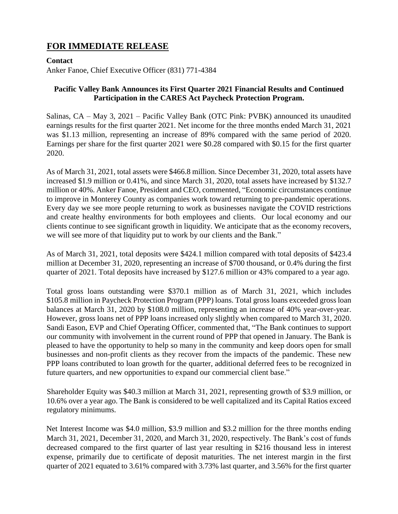## **FOR IMMEDIATE RELEASE**

## **Contact**

Anker Fanoe, Chief Executive Officer (831) 771-4384

## **Pacific Valley Bank Announces its First Quarter 2021 Financial Results and Continued Participation in the CARES Act Paycheck Protection Program.**

Salinas, CA – May 3, 2021 – Pacific Valley Bank (OTC Pink: PVBK) announced its unaudited earnings results for the first quarter 2021. Net income for the three months ended March 31, 2021 was \$1.13 million, representing an increase of 89% compared with the same period of 2020. Earnings per share for the first quarter 2021 were \$0.28 compared with \$0.15 for the first quarter 2020.

As of March 31, 2021, total assets were \$466.8 million. Since December 31, 2020, total assets have increased \$1.9 million or 0.41%, and since March 31, 2020, total assets have increased by \$132.7 million or 40%. Anker Fanoe, President and CEO, commented, "Economic circumstances continue to improve in Monterey County as companies work toward returning to pre-pandemic operations. Every day we see more people returning to work as businesses navigate the COVID restrictions and create healthy environments for both employees and clients. Our local economy and our clients continue to see significant growth in liquidity. We anticipate that as the economy recovers, we will see more of that liquidity put to work by our clients and the Bank."

As of March 31, 2021, total deposits were \$424.1 million compared with total deposits of \$423.4 million at December 31, 2020, representing an increase of \$700 thousand, or 0.4% during the first quarter of 2021. Total deposits have increased by \$127.6 million or 43% compared to a year ago.

Total gross loans outstanding were \$370.1 million as of March 31, 2021, which includes \$105.8 million in Paycheck Protection Program (PPP) loans. Total gross loans exceeded gross loan balances at March 31, 2020 by \$108.0 million, representing an increase of 40% year-over-year. However, gross loans net of PPP loans increased only slightly when compared to March 31, 2020. Sandi Eason, EVP and Chief Operating Officer, commented that, "The Bank continues to support our community with involvement in the current round of PPP that opened in January. The Bank is pleased to have the opportunity to help so many in the community and keep doors open for small businesses and non-profit clients as they recover from the impacts of the pandemic. These new PPP loans contributed to loan growth for the quarter, additional deferred fees to be recognized in future quarters, and new opportunities to expand our commercial client base."

Shareholder Equity was \$40.3 million at March 31, 2021, representing growth of \$3.9 million, or 10.6% over a year ago. The Bank is considered to be well capitalized and its Capital Ratios exceed regulatory minimums.

Net Interest Income was \$4.0 million, \$3.9 million and \$3.2 million for the three months ending March 31, 2021, December 31, 2020, and March 31, 2020, respectively. The Bank's cost of funds decreased compared to the first quarter of last year resulting in \$216 thousand less in interest expense, primarily due to certificate of deposit maturities. The net interest margin in the first quarter of 2021 equated to 3.61% compared with 3.73% last quarter, and 3.56% for the first quarter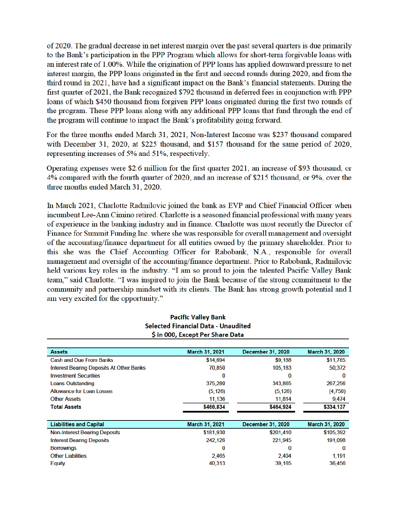of 2020. The gradual decrease in net interest margin over the past several quarters is due primarily to the Bank's participation in the PPP Program which allows for short-term forgivable loans with an interest rate of 1.00%. While the origination of PPP loans has applied downward pressure to net interest margin, the PPP loans originated in the first and second rounds during 2020, and from the third round in 2021, have had a significant impact on the Bank's financial statements. During the first quarter of 2021, the Bank recognized \$792 thousand in deferred fees in conjunction with PPP loans of which \$450 thousand from forgiven PPP loans originated during the first two rounds of the program. These PPP loans along with any additional PPP loans that fund through the end of the program will continue to impact the Bank's profitability going forward.

For the three months ended March 31, 2021, Non-Interest Income was \$237 thousand compared with December 31, 2020, at \$225 thousand, and \$157 thousand for the same period of 2020, representing increases of 5% and 51%, respectively.

Operating expenses were \$2.6 million for the first quarter 2021, an increase of \$93 thousand, or 4% compared with the fourth quarter of 2020, and an increase of \$215 thousand, or 9%, over the three months ended March 31, 2020.

In March 2021, Charlotte Radmilovic joined the bank as EVP and Chief Financial Officer when incumbent Lee-Ann Cimino retired. Charlotte is a seasoned financial professional with many years of experience in the banking industry and in finance. Charlotte was most recently the Director of Finance for Summit Funding Inc. where she was responsible for overall management and oversight of the accounting/finance department for all entities owned by the primary shareholder. Prior to this she was the Chief Accounting Officer for Rabobank, N.A., responsible for overall management and oversight of the accounting/finance department. Prior to Rabobank, Radmilovic held various key roles in the industry. "I am so proud to join the talented Pacific Valley Bank team," said Charlotte. "I was inspired to join the Bank because of the strong commitment to the community and partnership mindset with its clients. The Bank has strong growth potential and I am very excited for the opportunity."

**Pacific Valley Bank** 

| <b>Selected Financial Data - Unaudited</b><br>\$ in 000, Except Per Share Data |                |                   |                |
|--------------------------------------------------------------------------------|----------------|-------------------|----------------|
|                                                                                |                |                   |                |
| <b>Assets</b>                                                                  | March 31, 2021 | December 31, 2020 | March 31, 2020 |
| <b>Cash and Due From Banks</b>                                                 | \$14,694       | \$9,188           | \$11,785       |
| Interest Bearing Deposits At Other Banks                                       | 70,850         | 105,183           | 50,372         |
| <b>Investment Securities</b>                                                   | 0              | 0                 | 0              |
| <b>Loans Outstanding</b>                                                       | 375,280        | 343,865           | 267,256        |
| <b>Allowance for Loan Losses</b>                                               | (5, 126)       | (5, 126)          | (4,750)        |
| <b>Other Assets</b>                                                            | 11,136         | 11,814            | 9,474          |
| <b>Total Assets</b>                                                            | \$466,834      | \$464,924         | \$334,137      |
|                                                                                |                |                   |                |
| <b>Liabilities and Capital</b>                                                 | March 31, 2021 | December 31, 2020 | March 31, 2020 |
| <b>Non-Interest Bearing Deposits</b>                                           | \$181,930      | \$201,410         | \$105,392      |
| <b>Interest Bearing Deposits</b>                                               | 242,126        | 221,945           | 191,098        |
| <b>Borrowings</b>                                                              | 0              | 0                 | 0              |
| <b>Other Liabilities</b>                                                       | 2,465          | 2,404             | 1,191          |
| Equity                                                                         | 40,313         | 39,165            | 36,456         |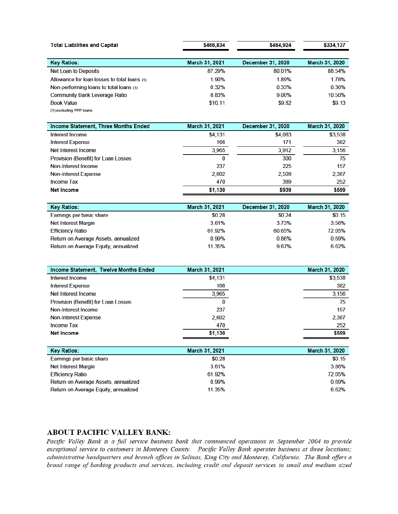| <b>Total Liabilities and Capital</b>         | \$466,834             | \$464,924                | \$334.137             |
|----------------------------------------------|-----------------------|--------------------------|-----------------------|
| <b>Key Ratios:</b>                           | <b>March 31, 2021</b> | <b>December 31, 2020</b> | <b>March 31, 2020</b> |
| <b>Net Loan to Deposits</b>                  | 87.29%                | 80.01%                   | 88.54%                |
| Allowance for loan losses to total loans (1) | 1.90%                 | 1.89%                    | 1.78%                 |
| Non-performing loans to total loans (1)      | 0.32%                 | 0.33%                    | 0.36%                 |
| <b>Community Bank Leverage Ratio</b>         | 8.83%                 | 9.00%                    | 10.50%                |
| <b>Book Value</b>                            | \$10.11               | \$9.82                   | \$9.13                |
| (1) excluding PPP loans                      |                       |                          |                       |

| Income Statement, Three Months Ended       | <b>March 31, 2021</b> | <b>December 31, 2020</b> | <b>March 31, 2020</b> |
|--------------------------------------------|-----------------------|--------------------------|-----------------------|
| Interest Income                            | \$4,131               | \$4,083                  | \$3,538               |
| Interest Expense                           | 166                   | 171                      | 382                   |
| Net Interest Income                        | 3,965                 | 3,912                    | 3,156                 |
| <b>Provision (Benefit) for Loan Losses</b> | 0                     | 300                      | 75                    |
| Non-Interest Income                        | 237                   | 225                      | 157                   |
| <b>Non-Interest Expense</b>                | 2,602                 | 2,509                    | 2,387                 |
| <b>Income Tax</b>                          | 470                   | 389                      | 252                   |
| <b>Net Income</b>                          | \$1,130               | \$939                    | \$599                 |

| <b>Key Ratios:</b>                   | <b>March 31, 2021</b> | <b>December 31, 2020</b> | March 31, 2020 |
|--------------------------------------|-----------------------|--------------------------|----------------|
| Earnings per basic share             | \$0.28                | \$0.24                   | \$0.15         |
| <b>Net Interest Margin</b>           | 3.61%                 | 3.73%                    | 3.56%          |
| <b>Efficiency Ratio</b>              | 61.92%                | 60.65%                   | 72.05%         |
| Return on Average Assets, annualized | 0.99%                 | 0.86%                    | 0.69%          |
| Return on Average Equity, annualized | 11.35%                | 9.67%                    | 6.62%          |

| Income Statement, Twelve Months Ended      | March 31, 2021 | March 31, 2020 |
|--------------------------------------------|----------------|----------------|
| Interest Income                            | \$4,131        | \$3,538        |
| <b>Interest Expense</b>                    | 166            | 382            |
| Net Interest Income                        | 3,965          | 3.156          |
| <b>Provision (Benefit) for Loan Losses</b> | 0              | 75             |
| Non-Interest Income                        | 237            | 157            |
| <b>Non-Interest Expense</b>                | 2,602          | 2,387          |
| <b>Income Tax</b>                          | 470            | 252            |
| <b>Net Income</b>                          | \$1,130        | \$599          |

| <b>Key Ratios:</b>                   | <b>March 31, 2021</b> | <b>March 31, 2020</b> |
|--------------------------------------|-----------------------|-----------------------|
| Earnings per basic share             | \$0.28                | \$0.15                |
| <b>Net Interest Margin</b>           | 3.61%                 | 3.86%                 |
| <b>Efficiency Ratio</b>              | 61.92%                | 72.05%                |
| Return on Average Assets, annualized | 0.99%                 | 0.69%                 |
| Return on Average Equity, annualized | 11.35%                | 6.62%                 |

## **ABOUT PACIFIC VALLEY BANK:**

Pacific Valley Bank is a full service business bank that commenced operations in September 2004 to provide exceptional service to customers in Monterey County. Pacific Valley Bank operates business at three locations; administrative headquarters and branch offices in Salinas, King City and Monterey, California. The Bank offers a broad range of banking products and services, including credit and deposit services to small and medium sized